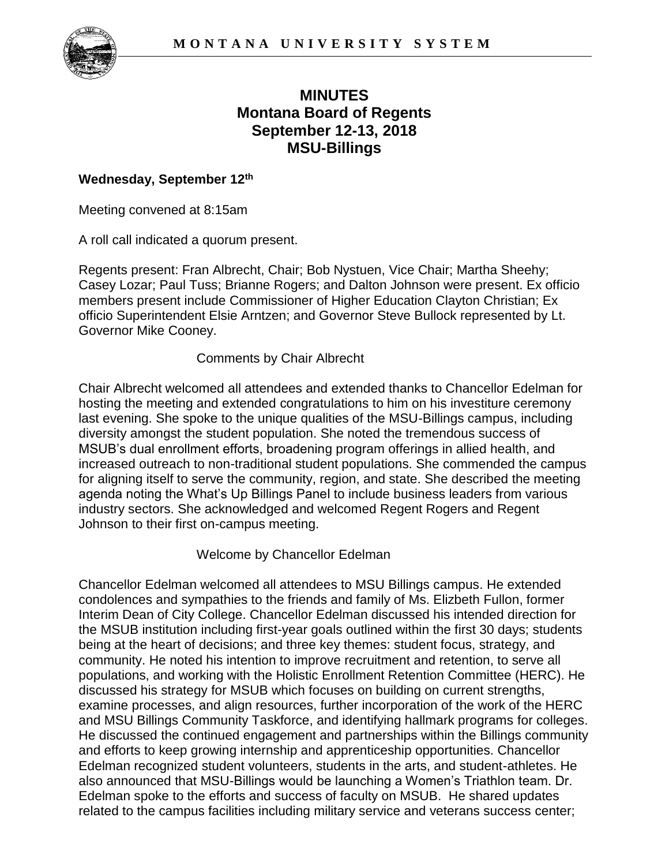

# **Montana Board of Regents MINUTES September 12-13, 2018 MSU-Billings**

### **Wednesday, September 12th**

Meeting convened at 8:15am

A roll call indicated a quorum present.

 officio Superintendent Elsie Arntzen; and Governor Steve Bullock represented by Lt. Regents present: Fran Albrecht, Chair; Bob Nystuen, Vice Chair; Martha Sheehy; Casey Lozar; Paul Tuss; Brianne Rogers; and Dalton Johnson were present. Ex officio members present include Commissioner of Higher Education Clayton Christian; Ex Governor Mike Cooney.

#### Comments by Chair Albrecht

 Chair Albrecht welcomed all attendees and extended thanks to Chancellor Edelman for for aligning itself to serve the community, region, and state. She described the meeting agenda noting the What's Up Billings Panel to include business leaders from various hosting the meeting and extended congratulations to him on his investiture ceremony last evening. She spoke to the unique qualities of the MSU-Billings campus, including diversity amongst the student population. She noted the tremendous success of MSUB's dual enrollment efforts, broadening program offerings in allied health, and increased outreach to non-traditional student populations. She commended the campus industry sectors. She acknowledged and welcomed Regent Rogers and Regent Johnson to their first on-campus meeting.

#### Welcome by Chancellor Edelman

 condolences and sympathies to the friends and family of Ms. Elizbeth Fullon, former examine processes, and align resources, further incorporation of the work of the HERC Edelman spoke to the efforts and success of faculty on MSUB. He shared updates Chancellor Edelman welcomed all attendees to MSU Billings campus. He extended Interim Dean of City College. Chancellor Edelman discussed his intended direction for the MSUB institution including first-year goals outlined within the first 30 days; students being at the heart of decisions; and three key themes: student focus, strategy, and community. He noted his intention to improve recruitment and retention, to serve all populations, and working with the Holistic Enrollment Retention Committee (HERC). He discussed his strategy for MSUB which focuses on building on current strengths, and MSU Billings Community Taskforce, and identifying hallmark programs for colleges. He discussed the continued engagement and partnerships within the Billings community and efforts to keep growing internship and apprenticeship opportunities. Chancellor Edelman recognized student volunteers, students in the arts, and student-athletes. He also announced that MSU-Billings would be launching a Women's Triathlon team. Dr. related to the campus facilities including military service and veterans success center;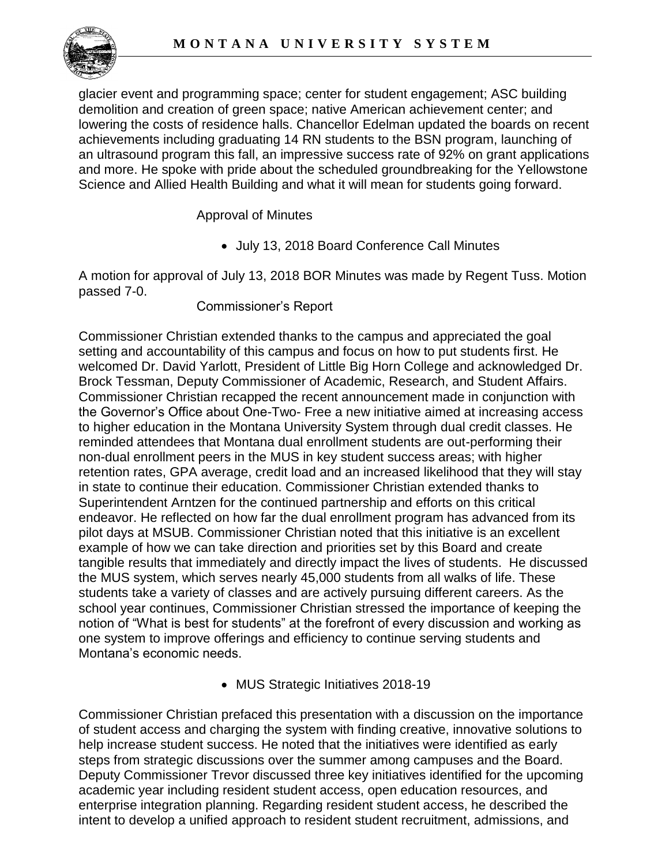

glacier event and programming space; center for student engagement; ASC building demolition and creation of green space; native American achievement center; and lowering the costs of residence halls. Chancellor Edelman updated the boards on recent achievements including graduating 14 RN students to the BSN program, launching of an ultrasound program this fall, an impressive success rate of 92% on grant applications and more. He spoke with pride about the scheduled groundbreaking for the Yellowstone Science and Allied Health Building and what it will mean for students going forward.

Approval of Minutes

• July 13, 2018 Board Conference Call Minutes

 A motion for approval of July 13, 2018 BOR Minutes was made by Regent Tuss. Motion passed 7-0.

Commissioner's Report

 setting and accountability of this campus and focus on how to put students first. He the MUS system, which serves nearly 45,000 students from all walks of life. These notion of "What is best for students" at the forefront of every discussion and working as Commissioner Christian extended thanks to the campus and appreciated the goal welcomed Dr. David Yarlott, President of Little Big Horn College and acknowledged Dr. Brock Tessman, Deputy Commissioner of Academic, Research, and Student Affairs. Commissioner Christian recapped the recent announcement made in conjunction with the Governor's Office about One-Two- Free a new initiative aimed at increasing access to higher education in the Montana University System through dual credit classes. He reminded attendees that Montana dual enrollment students are out-performing their non-dual enrollment peers in the MUS in key student success areas; with higher retention rates, GPA average, credit load and an increased likelihood that they will stay in state to continue their education. Commissioner Christian extended thanks to Superintendent Arntzen for the continued partnership and efforts on this critical endeavor. He reflected on how far the dual enrollment program has advanced from its pilot days at MSUB. Commissioner Christian noted that this initiative is an excellent example of how we can take direction and priorities set by this Board and create tangible results that immediately and directly impact the lives of students. He discussed students take a variety of classes and are actively pursuing different careers. As the school year continues, Commissioner Christian stressed the importance of keeping the one system to improve offerings and efficiency to continue serving students and Montana's economic needs.

• MUS Strategic Initiatives 2018-19

 Deputy Commissioner Trevor discussed three key initiatives identified for the upcoming academic year including resident student access, open education resources, and intent to develop a unified approach to resident student recruitment, admissions, and Commissioner Christian prefaced this presentation with a discussion on the importance of student access and charging the system with finding creative, innovative solutions to help increase student success. He noted that the initiatives were identified as early steps from strategic discussions over the summer among campuses and the Board. enterprise integration planning. Regarding resident student access, he described the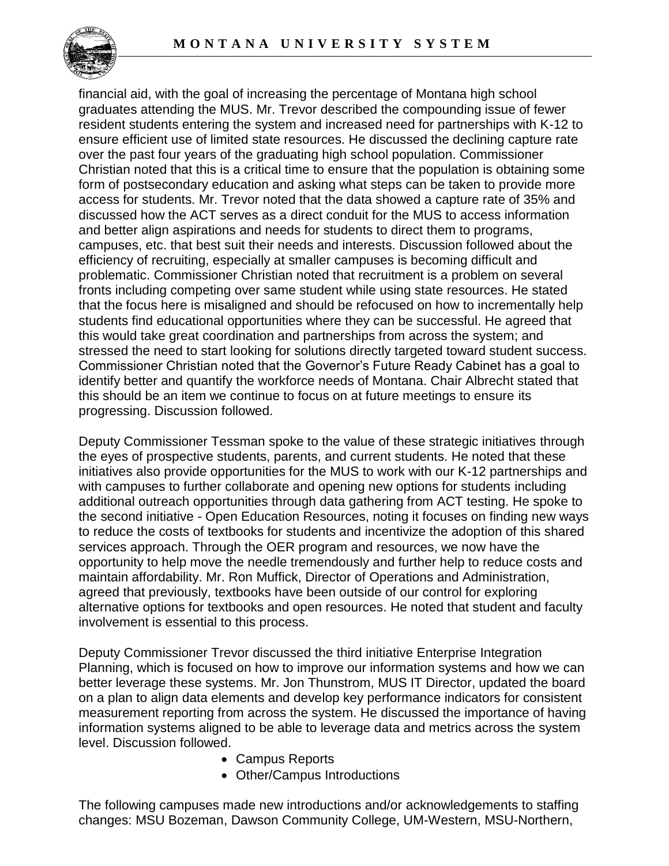

 financial aid, with the goal of increasing the percentage of Montana high school resident students entering the system and increased need for partnerships with K-12 to ensure efficient use of limited state resources. He discussed the declining capture rate form of postsecondary education and asking what steps can be taken to provide more access for students. Mr. Trevor noted that the data showed a capture rate of 35% and this should be an item we continue to focus on at future meetings to ensure its graduates attending the MUS. Mr. Trevor described the compounding issue of fewer over the past four years of the graduating high school population. Commissioner Christian noted that this is a critical time to ensure that the population is obtaining some discussed how the ACT serves as a direct conduit for the MUS to access information and better align aspirations and needs for students to direct them to programs, campuses, etc. that best suit their needs and interests. Discussion followed about the efficiency of recruiting, especially at smaller campuses is becoming difficult and problematic. Commissioner Christian noted that recruitment is a problem on several fronts including competing over same student while using state resources. He stated that the focus here is misaligned and should be refocused on how to incrementally help students find educational opportunities where they can be successful. He agreed that this would take great coordination and partnerships from across the system; and stressed the need to start looking for solutions directly targeted toward student success. Commissioner Christian noted that the Governor's Future Ready Cabinet has a goal to identify better and quantify the workforce needs of Montana. Chair Albrecht stated that progressing. Discussion followed.

 Deputy Commissioner Tessman spoke to the value of these strategic initiatives through alternative options for textbooks and open resources. He noted that student and faculty the eyes of prospective students, parents, and current students. He noted that these initiatives also provide opportunities for the MUS to work with our K-12 partnerships and with campuses to further collaborate and opening new options for students including additional outreach opportunities through data gathering from ACT testing. He spoke to the second initiative - Open Education Resources, noting it focuses on finding new ways to reduce the costs of textbooks for students and incentivize the adoption of this shared services approach. Through the OER program and resources, we now have the opportunity to help move the needle tremendously and further help to reduce costs and maintain affordability. Mr. Ron Muffick, Director of Operations and Administration, agreed that previously, textbooks have been outside of our control for exploring involvement is essential to this process.

Deputy Commissioner Trevor discussed the third initiative Enterprise Integration Planning, which is focused on how to improve our information systems and how we can better leverage these systems. Mr. Jon Thunstrom, MUS IT Director, updated the board on a plan to align data elements and develop key performance indicators for consistent measurement reporting from across the system. He discussed the importance of having information systems aligned to be able to leverage data and metrics across the system level. Discussion followed.

- Campus Reports
- Other/Campus Introductions

The following campuses made new introductions and/or acknowledgements to staffing changes: MSU Bozeman, Dawson Community College, UM-Western, MSU-Northern,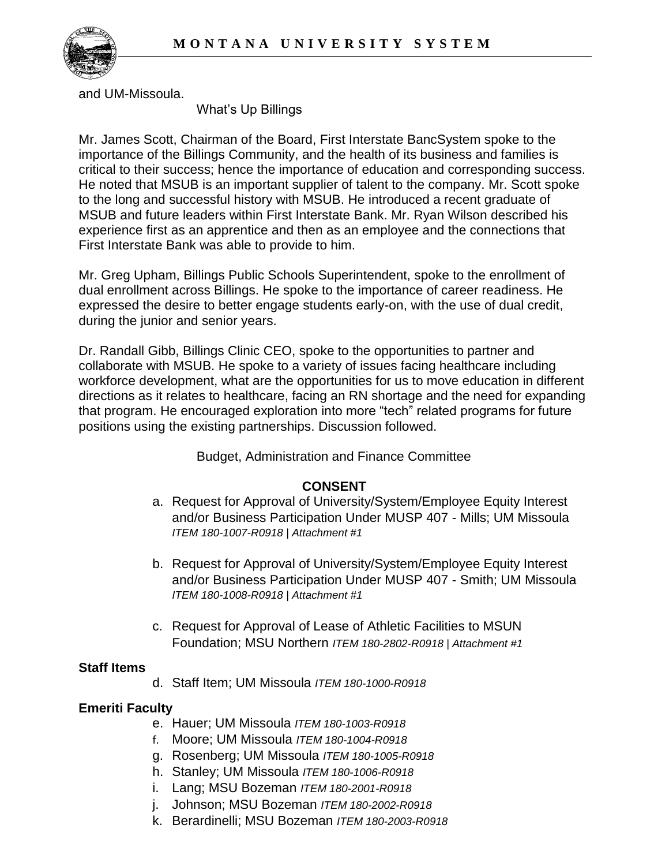

and UM-Missoula.

What's Up Billings

 importance of the Billings Community, and the health of its business and families is to the long and successful history with MSUB. He introduced a recent graduate of experience first as an apprentice and then as an employee and the connections that Mr. James Scott, Chairman of the Board, First Interstate BancSystem spoke to the critical to their success; hence the importance of education and corresponding success. He noted that MSUB is an important supplier of talent to the company. Mr. Scott spoke MSUB and future leaders within First Interstate Bank. Mr. Ryan Wilson described his First Interstate Bank was able to provide to him.

 expressed the desire to better engage students early-on, with the use of dual credit, Mr. Greg Upham, Billings Public Schools Superintendent, spoke to the enrollment of dual enrollment across Billings. He spoke to the importance of career readiness. He during the junior and senior years.

 collaborate with MSUB. He spoke to a variety of issues facing healthcare including directions as it relates to healthcare, facing an RN shortage and the need for expanding Dr. Randall Gibb, Billings Clinic CEO, spoke to the opportunities to partner and workforce development, what are the opportunities for us to move education in different that program. He encouraged exploration into more "tech" related programs for future positions using the existing partnerships. Discussion followed.

Budget, Administration and Finance Committee

## **CONSENT**

- a. Request for Approval of University/System/Employee Equity Interest and/or Business Participation Under MUSP 407 - Mills; UM Missoula *ITEM 180-1007-R0918 | Attachment #1*
- b. Request for Approval of University/System/Employee Equity Interest and/or Business Participation Under MUSP 407 - Smith; UM Missoula *ITEM 180-1008-R0918 | Attachment #1*
- c. Request for Approval of Lease of Athletic Facilities to MSUN Foundation; MSU Northern *ITEM 180-2802-R0918 | Attachment #1*

#### **Staff Items**

d. Staff Item; UM Missoula *ITEM 180-1000-R0918* 

## **Emeriti Faculty**

- e. Hauer; UM Missoula *ITEM 180-1003-R0918*
- f. Moore; UM Missoula *ITEM 180-1004-R0918*
- g. Rosenberg; UM Missoula *ITEM 180-1005-R0918*
- h. Stanley; UM Missoula *ITEM 180-1006-R0918*
- i. Lang; MSU Bozeman *ITEM 180-2001-R0918*
- j. Johnson; MSU Bozeman *ITEM 180-2002-R0918*
- k. Berardinelli; MSU Bozeman *ITEM 180-2003-R0918*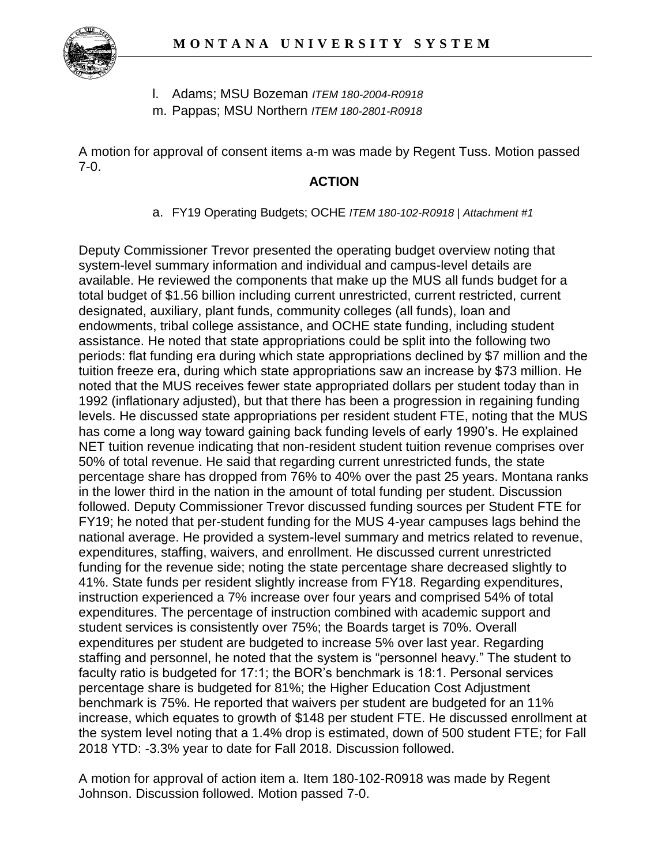

- l. Adams; MSU Bozeman *ITEM 180-2004-R0918*
- m. Pappas; MSU Northern *ITEM 180-2801-R0918*

A motion for approval of consent items a-m was made by Regent Tuss. Motion passed 7-0.

#### **ACTION**

a. FY19 Operating Budgets; OCHE *ITEM 180-102-R0918 | Attachment #1* 

 available. He reviewed the components that make up the MUS all funds budget for a periods: flat funding era during which state appropriations declined by \$7 million and the tuition freeze era, during which state appropriations saw an increase by \$73 million. He 1992 (inflationary adjusted), but that there has been a progression in regaining funding has come a long way toward gaining back funding levels of early 1990's. He explained percentage share has dropped from 76% to 40% over the past 25 years. Montana ranks FY19; he noted that per-student funding for the MUS 4-year campuses lags behind the benchmark is 75%. He reported that waivers per student are budgeted for an 11% Deputy Commissioner Trevor presented the operating budget overview noting that system-level summary information and individual and campus-level details are total budget of \$1.56 billion including current unrestricted, current restricted, current designated, auxiliary, plant funds, community colleges (all funds), loan and endowments, tribal college assistance, and OCHE state funding, including student assistance. He noted that state appropriations could be split into the following two noted that the MUS receives fewer state appropriated dollars per student today than in levels. He discussed state appropriations per resident student FTE, noting that the MUS NET tuition revenue indicating that non-resident student tuition revenue comprises over 50% of total revenue. He said that regarding current unrestricted funds, the state in the lower third in the nation in the amount of total funding per student. Discussion followed. Deputy Commissioner Trevor discussed funding sources per Student FTE for national average. He provided a system-level summary and metrics related to revenue, expenditures, staffing, waivers, and enrollment. He discussed current unrestricted funding for the revenue side; noting the state percentage share decreased slightly to 41%. State funds per resident slightly increase from FY18. Regarding expenditures, instruction experienced a 7% increase over four years and comprised 54% of total expenditures. The percentage of instruction combined with academic support and student services is consistently over 75%; the Boards target is 70%. Overall expenditures per student are budgeted to increase 5% over last year. Regarding staffing and personnel, he noted that the system is "personnel heavy." The student to faculty ratio is budgeted for 17:1; the BOR's benchmark is 18:1. Personal services percentage share is budgeted for 81%; the Higher Education Cost Adjustment increase, which equates to growth of \$148 per student FTE. He discussed enrollment at the system level noting that a 1.4% drop is estimated, down of 500 student FTE; for Fall 2018 YTD: -3.3% year to date for Fall 2018. Discussion followed.

 Johnson. Discussion followed. Motion passed 7-0. A motion for approval of action item a. Item 180-102-R0918 was made by Regent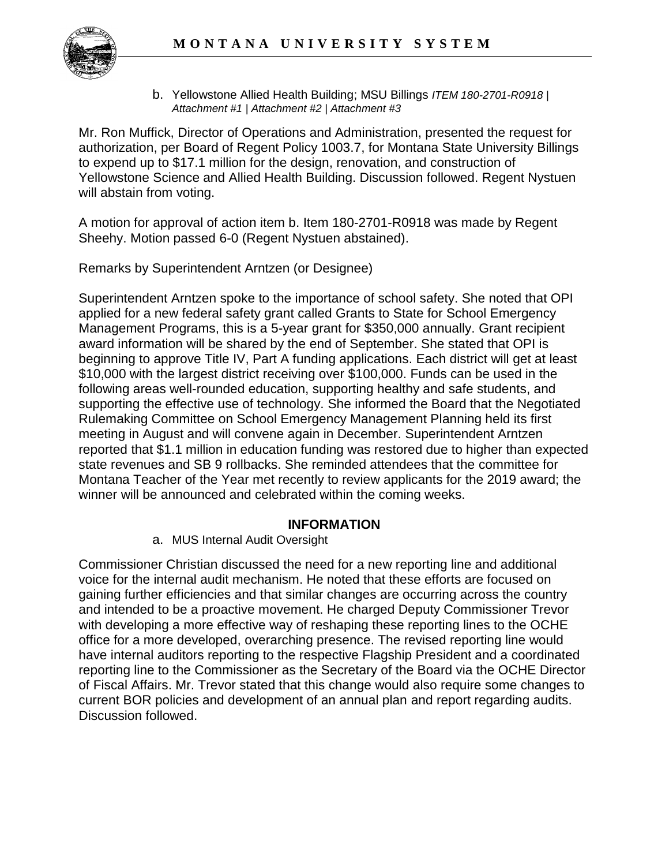

 b. Yellowstone Allied Health Building; MSU Billings *ITEM 180-2701-R0918 | Attachment #1 | Attachment #2 | Attachment #3* 

 to expend up to \$17.1 million for the design, renovation, and construction of Mr. Ron Muffick, Director of Operations and Administration, presented the request for authorization, per Board of Regent Policy 1003.7, for Montana State University Billings Yellowstone Science and Allied Health Building. Discussion followed. Regent Nystuen will abstain from voting.

 Sheehy. Motion passed 6-0 (Regent Nystuen abstained). A motion for approval of action item b. Item 180-2701-R0918 was made by Regent

Remarks by Superintendent Arntzen (or Designee)

 award information will be shared by the end of September. She stated that OPI is beginning to approve Title IV, Part A funding applications. Each district will get at least \$10,000 with the largest district receiving over \$100,000. Funds can be used in the supporting the effective use of technology. She informed the Board that the Negotiated reported that \$1.1 million in education funding was restored due to higher than expected Montana Teacher of the Year met recently to review applicants for the 2019 award; the Superintendent Arntzen spoke to the importance of school safety. She noted that OPI applied for a new federal safety grant called Grants to State for School Emergency Management Programs, this is a 5-year grant for \$350,000 annually. Grant recipient following areas well-rounded education, supporting healthy and safe students, and Rulemaking Committee on School Emergency Management Planning held its first meeting in August and will convene again in December. Superintendent Arntzen state revenues and SB 9 rollbacks. She reminded attendees that the committee for winner will be announced and celebrated within the coming weeks.

#### **INFORMATION**

a. MUS Internal Audit Oversight

 Commissioner Christian discussed the need for a new reporting line and additional voice for the internal audit mechanism. He noted that these efforts are focused on have internal auditors reporting to the respective Flagship President and a coordinated current BOR policies and development of an annual plan and report regarding audits. gaining further efficiencies and that similar changes are occurring across the country and intended to be a proactive movement. He charged Deputy Commissioner Trevor with developing a more effective way of reshaping these reporting lines to the OCHE office for a more developed, overarching presence. The revised reporting line would reporting line to the Commissioner as the Secretary of the Board via the OCHE Director of Fiscal Affairs. Mr. Trevor stated that this change would also require some changes to Discussion followed.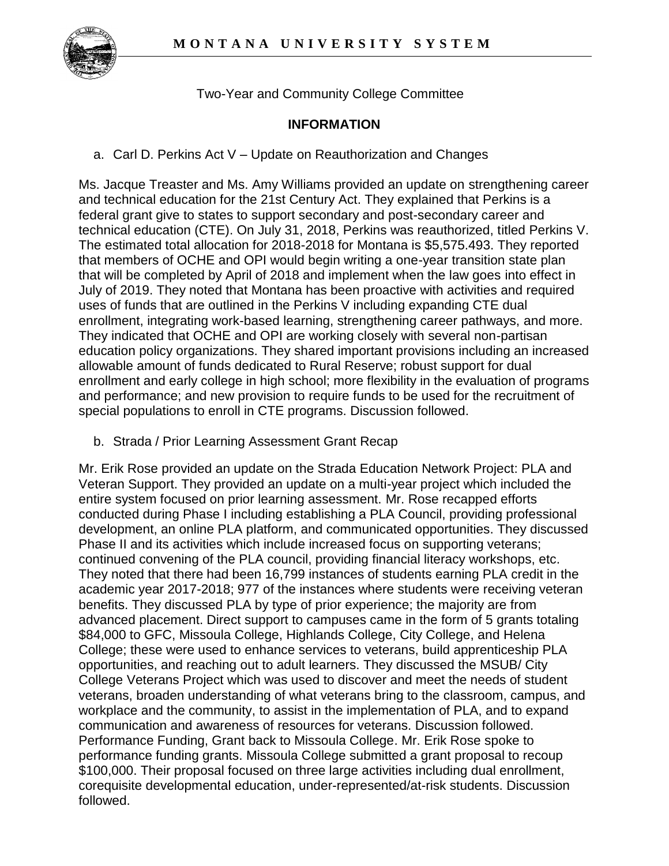

Two-Year and Community College Committee

### **INFORMATION**

a. Carl D. Perkins Act V – Update on Reauthorization and Changes

 Ms. Jacque Treaster and Ms. Amy Williams provided an update on strengthening career and technical education for the 21st Century Act. They explained that Perkins is a that members of OCHE and OPI would begin writing a one-year transition state plan July of 2019. They noted that Montana has been proactive with activities and required uses of funds that are outlined in the Perkins V including expanding CTE dual federal grant give to states to support secondary and post-secondary career and technical education (CTE). On July 31, 2018, Perkins was reauthorized, titled Perkins V. The estimated total allocation for 2018-2018 for Montana is \$5,575.493. They reported that will be completed by April of 2018 and implement when the law goes into effect in enrollment, integrating work-based learning, strengthening career pathways, and more. They indicated that OCHE and OPI are working closely with several non-partisan education policy organizations. They shared important provisions including an increased allowable amount of funds dedicated to Rural Reserve; robust support for dual enrollment and early college in high school; more flexibility in the evaluation of programs and performance; and new provision to require funds to be used for the recruitment of special populations to enroll in CTE programs. Discussion followed.

b. Strada / Prior Learning Assessment Grant Recap

 Mr. Erik Rose provided an update on the Strada Education Network Project: PLA and Veteran Support. They provided an update on a multi-year project which included the entire system focused on prior learning assessment. Mr. Rose recapped efforts They noted that there had been 16,799 instances of students earning PLA credit in the advanced placement. Direct support to campuses came in the form of 5 grants totaling College Veterans Project which was used to discover and meet the needs of student workplace and the community, to assist in the implementation of PLA, and to expand \$100,000. Their proposal focused on three large activities including dual enrollment, conducted during Phase I including establishing a PLA Council, providing professional development, an online PLA platform, and communicated opportunities. They discussed Phase II and its activities which include increased focus on supporting veterans; continued convening of the PLA council, providing financial literacy workshops, etc. academic year 2017-2018; 977 of the instances where students were receiving veteran benefits. They discussed PLA by type of prior experience; the majority are from \$84,000 to GFC, Missoula College, Highlands College, City College, and Helena College; these were used to enhance services to veterans, build apprenticeship PLA opportunities, and reaching out to adult learners. They discussed the MSUB/ City veterans, broaden understanding of what veterans bring to the classroom, campus, and communication and awareness of resources for veterans. Discussion followed. Performance Funding, Grant back to Missoula College. Mr. Erik Rose spoke to performance funding grants. Missoula College submitted a grant proposal to recoup corequisite developmental education, under-represented/at-risk students. Discussion followed.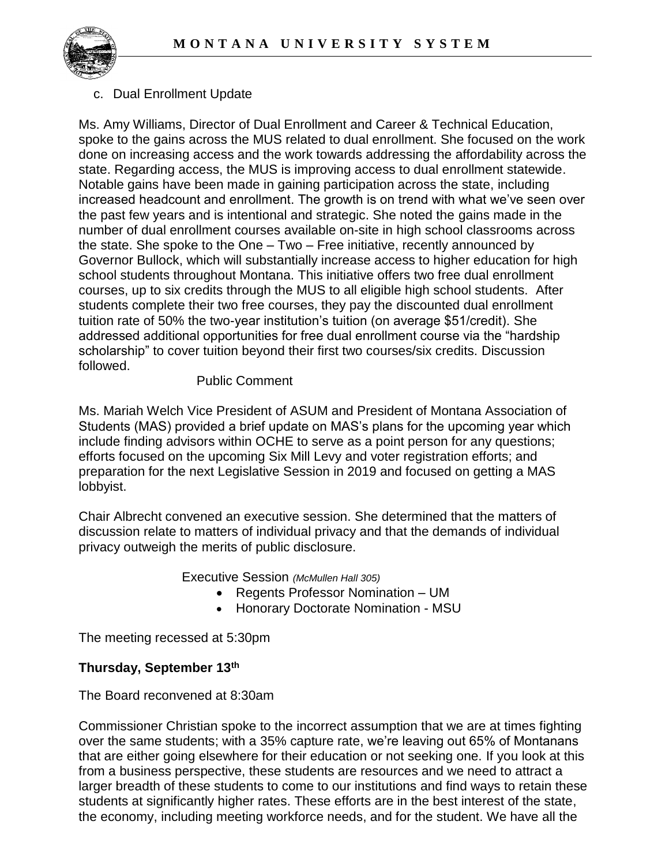

#### c. Dual Enrollment Update

 spoke to the gains across the MUS related to dual enrollment. She focused on the work the past few years and is intentional and strategic. She noted the gains made in the the state. She spoke to the One – Two – Free initiative, recently announced by Governor Bullock, which will substantially increase access to higher education for high school students throughout Montana. This initiative offers two free dual enrollment courses, up to six credits through the MUS to all eligible high school students. After Ms. Amy Williams, Director of Dual Enrollment and Career & Technical Education, done on increasing access and the work towards addressing the affordability across the state. Regarding access, the MUS is improving access to dual enrollment statewide. Notable gains have been made in gaining participation across the state, including increased headcount and enrollment. The growth is on trend with what we've seen over number of dual enrollment courses available on-site in high school classrooms across students complete their two free courses, they pay the discounted dual enrollment tuition rate of 50% the two-year institution's tuition (on average \$51/credit). She addressed additional opportunities for free dual enrollment course via the "hardship scholarship" to cover tuition beyond their first two courses/six credits. Discussion followed.

#### Public Comment

 Ms. Mariah Welch Vice President of ASUM and President of Montana Association of include finding advisors within OCHE to serve as a point person for any questions; efforts focused on the upcoming Six Mill Levy and voter registration efforts; and preparation for the next Legislative Session in 2019 and focused on getting a MAS Students (MAS) provided a brief update on MAS's plans for the upcoming year which lobbyist.

 Chair Albrecht convened an executive session. She determined that the matters of discussion relate to matters of individual privacy and that the demands of individual privacy outweigh the merits of public disclosure.

Executive Session *(McMullen Hall 305)* 

- Regents Professor Nomination UM
- Honorary Doctorate Nomination MSU

The meeting recessed at 5:30pm

### **Thursday, September 13th**

#### The Board reconvened at 8:30am

Commissioner Christian spoke to the incorrect assumption that we are at times fighting over the same students; with a 35% capture rate, we're leaving out 65% of Montanans that are either going elsewhere for their education or not seeking one. If you look at this from a business perspective, these students are resources and we need to attract a larger breadth of these students to come to our institutions and find ways to retain these students at significantly higher rates. These efforts are in the best interest of the state, the economy, including meeting workforce needs, and for the student. We have all the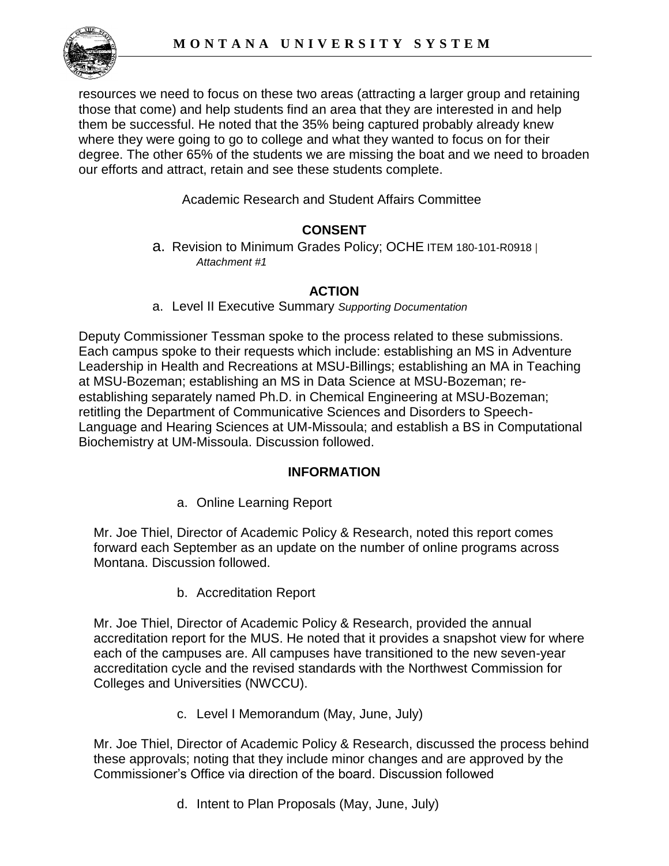

 where they were going to go to college and what they wanted to focus on for their resources we need to focus on these two areas (attracting a larger group and retaining those that come) and help students find an area that they are interested in and help them be successful. He noted that the 35% being captured probably already knew degree. The other 65% of the students we are missing the boat and we need to broaden our efforts and attract, retain and see these students complete.

Academic Research and Student Affairs Committee

## **CONSENT**

a. Revision to Minimum Grades Policy; OCHE ITEM 180-101-R0918 *| Attachment #1* 

## **ACTION**

a. Level II Executive Summary *Supporting Documentation* 

 Deputy Commissioner Tessman spoke to the process related to these submissions. Leadership in Health and Recreations at MSU-Billings; establishing an MA in Teaching Language and Hearing Sciences at UM-Missoula; and establish a BS in Computational Each campus spoke to their requests which include: establishing an MS in Adventure at MSU-Bozeman; establishing an MS in Data Science at MSU-Bozeman; reestablishing separately named Ph.D. in Chemical Engineering at MSU-Bozeman; retitling the Department of Communicative Sciences and Disorders to Speech-Biochemistry at UM-Missoula. Discussion followed.

#### **INFORMATION**

a. Online Learning Report

 forward each September as an update on the number of online programs across Mr. Joe Thiel, Director of Academic Policy & Research, noted this report comes Montana. Discussion followed.

b. Accreditation Report

Mr. Joe Thiel, Director of Academic Policy & Research, provided the annual accreditation report for the MUS. He noted that it provides a snapshot view for where each of the campuses are. All campuses have transitioned to the new seven-year accreditation cycle and the revised standards with the Northwest Commission for Colleges and Universities (NWCCU).

c. Level I Memorandum (May, June, July)

Mr. Joe Thiel, Director of Academic Policy & Research, discussed the process behind these approvals; noting that they include minor changes and are approved by the Commissioner's Office via direction of the board. Discussion followed

d. Intent to Plan Proposals (May, June, July)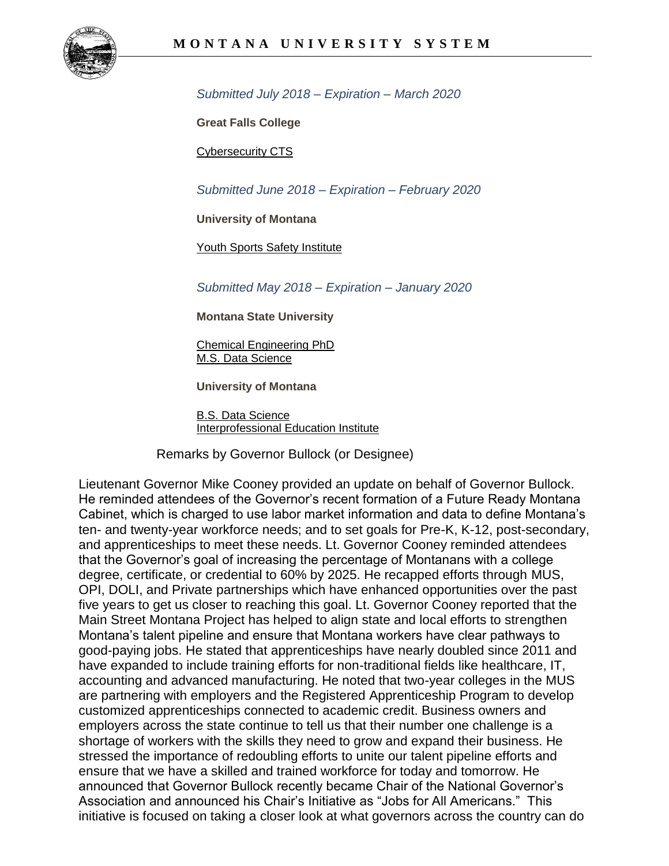

 *Submitted July 2018 – Expiration – March 2020* 

**Great Falls College** 

[Cybersecurity CTS](https://mus.edu/che/arsa/IntenttoPlan/2018/GFC-IP-CTSCyberSecurity.pdf) 

 *Submitted June 2018 – Expiration – February 2020* 

**University of Montana** 

[Youth Sports Safety Institute](https://mus.edu/che/arsa/IntenttoPlan/2018/UM-IP-Youth-Sports-Safety-Institute.pdf) 

 *Submitted May 2018 – Expiration – January 2020* 

**Montana State University** 

[Chemical Engineering PhD](https://mus.edu/che/arsa/IntenttoPlan/2018/MSU-IP-ChemicalEngineering.pdf)  [M.S. Data Science](https://mus.edu/che/arsa/IntenttoPlan/2018/MSU-IP-MSDataScience.pdf) 

**University of Montana** 

[B.S. Data Science](https://mus.edu/che/arsa/IntenttoPlan/2018/UM-IP-DataScience.pdf)  [Interprofessional Education Institute](https://mus.edu/che/arsa/IntenttoPlan/2018/UM-IP-InterprofessionalEducationInstitute.pdf) 

Remarks by Governor Bullock (or Designee)

 OPI, DOLI, and Private partnerships which have enhanced opportunities over the past Main Street Montana Project has helped to align state and local efforts to strengthen good-paying jobs. He stated that apprenticeships have nearly doubled since 2011 and customized apprenticeships connected to academic credit. Business owners and Association and announced his Chair's Initiative as "Jobs for All Americans." This Lieutenant Governor Mike Cooney provided an update on behalf of Governor Bullock. He reminded attendees of the Governor's recent formation of a Future Ready Montana Cabinet, which is charged to use labor market information and data to define Montana's ten- and twenty-year workforce needs; and to set goals for Pre-K, K-12, post-secondary, and apprenticeships to meet these needs. Lt. Governor Cooney reminded attendees that the Governor's goal of increasing the percentage of Montanans with a college degree, certificate, or credential to 60% by 2025. He recapped efforts through MUS, five years to get us closer to reaching this goal. Lt. Governor Cooney reported that the Montana's talent pipeline and ensure that Montana workers have clear pathways to have expanded to include training efforts for non-traditional fields like healthcare, IT, accounting and advanced manufacturing. He noted that two-year colleges in the MUS are partnering with employers and the Registered Apprenticeship Program to develop employers across the state continue to tell us that their number one challenge is a shortage of workers with the skills they need to grow and expand their business. He stressed the importance of redoubling efforts to unite our talent pipeline efforts and ensure that we have a skilled and trained workforce for today and tomorrow. He announced that Governor Bullock recently became Chair of the National Governor's initiative is focused on taking a closer look at what governors across the country can do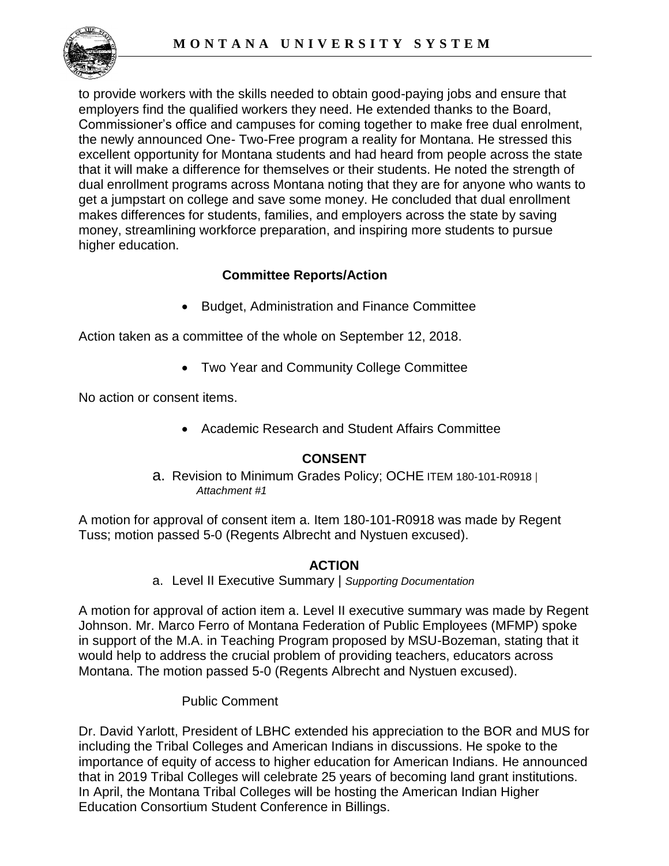

 to provide workers with the skills needed to obtain good-paying jobs and ensure that Commissioner's office and campuses for coming together to make free dual enrolment, excellent opportunity for Montana students and had heard from people across the state makes differences for students, families, and employers across the state by saving employers find the qualified workers they need. He extended thanks to the Board, the newly announced One- Two-Free program a reality for Montana. He stressed this that it will make a difference for themselves or their students. He noted the strength of dual enrollment programs across Montana noting that they are for anyone who wants to get a jumpstart on college and save some money. He concluded that dual enrollment money, streamlining workforce preparation, and inspiring more students to pursue higher education.

## **Committee Reports/Action**

• Budget, Administration and Finance Committee

Action taken as a committee of the whole on September 12, 2018.

• Two Year and Community College Committee

No action or consent items.

• Academic Research and Student Affairs Committee

#### **CONSENT**

#### a. Revision to Minimum Grades Policy; OCHE ITEM 180-101-R0918 *| Attachment #1*

A motion for approval of consent item a. Item 180-101-R0918 was made by Regent Tuss; motion passed 5-0 (Regents Albrecht and Nystuen excused).

## **ACTION**

a. Level II Executive Summary | *Supporting Documentation* 

 Montana. The motion passed 5-0 (Regents Albrecht and Nystuen excused). A motion for approval of action item a. Level II executive summary was made by Regent Johnson. Mr. Marco Ferro of Montana Federation of Public Employees (MFMP) spoke in support of the M.A. in Teaching Program proposed by MSU-Bozeman, stating that it would help to address the crucial problem of providing teachers, educators across

#### Public Comment

 Dr. David Yarlott, President of LBHC extended his appreciation to the BOR and MUS for including the Tribal Colleges and American Indians in discussions. He spoke to the importance of equity of access to higher education for American Indians. He announced that in 2019 Tribal Colleges will celebrate 25 years of becoming land grant institutions. In April, the Montana Tribal Colleges will be hosting the American Indian Higher Education Consortium Student Conference in Billings.